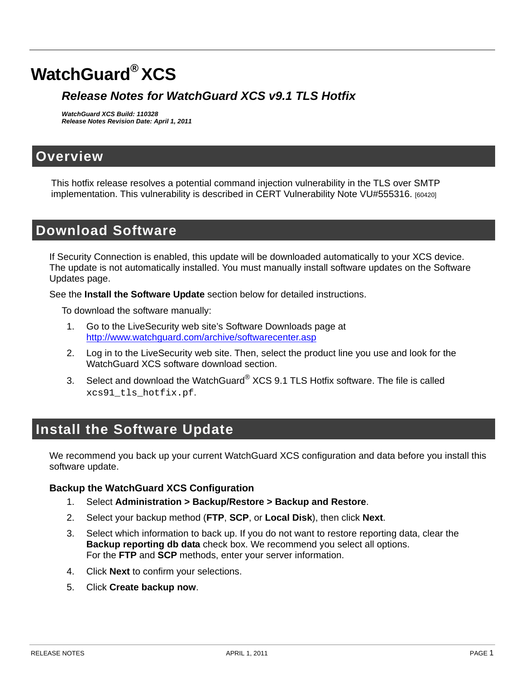# **WatchGuard® XCS**

### *Release Notes for WatchGuard XCS v9.1 TLS Hotfix*

*WatchGuard XCS Build: 110328 Release Notes Revision Date: April 1, 2011*

### **Overview**

This hotfix release resolves a potential command injection vulnerability in the TLS over SMTP implementation. This vulnerability is described in CERT Vulnerability Note VU#555316. [60420]

## **Download Software**

If Security Connection is enabled, this update will be downloaded automatically to your XCS device. The update is not automatically installed. You must manually install software updates on the Software Updates page.

See the **[Install the Software Update](#page-0-0)** section below for detailed instructions.

To download the software manually:

- 1. Go to the LiveSecurity web site's Software Downloads page at <http://www.watchguard.com/archive/softwarecenter.asp>
- 2. Log in to the LiveSecurity web site. Then, select the product line you use and look for the WatchGuard XCS software download section.
- 3. Select and download the WatchGuard<sup>®</sup> XCS 9.1 TLS Hotfix software. The file is called xcs91\_tls\_hotfix.pf.

## <span id="page-0-0"></span>**Install the Software Update**

We recommend you back up your current WatchGuard XCS configuration and data before you install this software update.

#### **Backup the WatchGuard XCS Configuration**

- 1. Select **Administration > Backup/Restore > Backup and Restore**.
- 2. Select your backup method (**FTP**, **SCP**, or **Local Disk**), then click **Next**.
- 3. Select which information to back up. If you do not want to restore reporting data, clear the **Backup reporting db data** check box. We recommend you select all options. For the **FTP** and **SCP** methods, enter your server information.
- 4. Click **Next** to confirm your selections.
- 5. Click **Create backup now**.